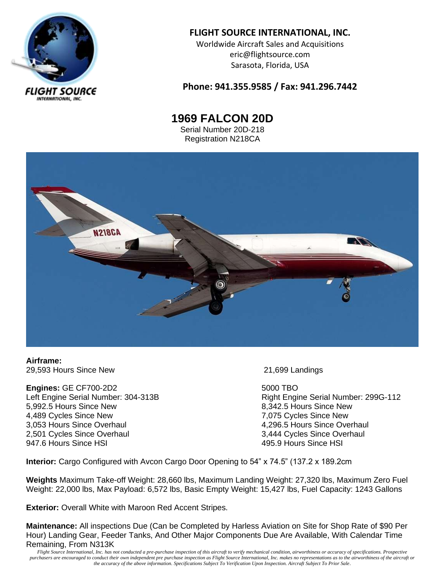

# **FLIGHT SOURCE INTERNATIONAL, INC.**

Worldwide Aircraft Sales and Acquisitions eric@flightsource.com Sarasota, Florida, USA

### **Phone: 941.355.9585 / Fax: 941.296.7442**

**1969 FALCON 20D** Serial Number 20D-218

Registration N218CA



**Airframe:** 29,593 Hours Since New 21,699 Landings

**Engines:** GE CF700-2D2 5000 TBO 5,992.5 Hours Since New Superstanding the State of B.342.5 Hours Since New 4,489 Cycles Since New 2008 and the Cycles Since New 2,075 Cycles Since New 3,053 Hours Since Overhaul 4,296.5 Hours Since Overhaul 2,501 Cycles Since Overhaul<br>
2,501 Cycles Since Overhaul<br>
3,444 Cycles Since Overhaul<br>
3,444 Cycles Since Overhaul

Left Engine Serial Number: 304-313B **Right Engine Serial Number: 299G-112** 495.9 Hours Since HSI

**Interior:** Cargo Configured with Avcon Cargo Door Opening to 54" x 74.5" (137.2 x 189.2cm

**Weights** Maximum Take-off Weight: 28,660 lbs, Maximum Landing Weight: 27,320 lbs, Maximum Zero Fuel Weight: 22,000 lbs, Max Payload: 6,572 lbs, Basic Empty Weight: 15,427 lbs, Fuel Capacity: 1243 Gallons

**Exterior:** Overall White with Maroon Red Accent Stripes.

**Maintenance:** All inspections Due (Can be Completed by Harless Aviation on Site for Shop Rate of \$90 Per Hour) Landing Gear, Feeder Tanks, And Other Major Components Due Are Available, With Calendar Time Remaining, From N313K